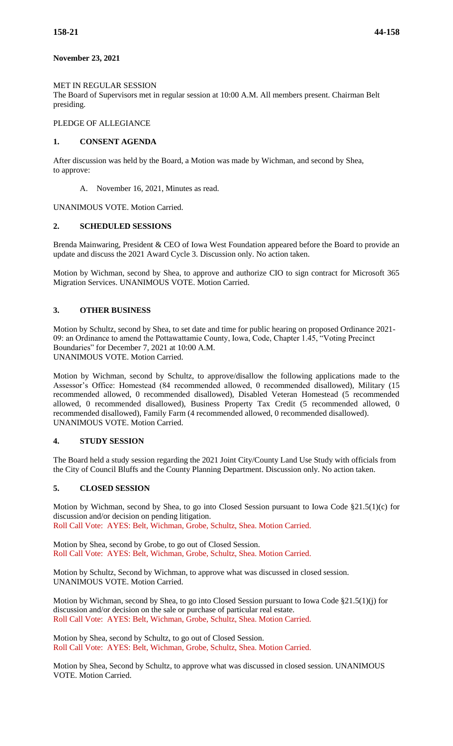### **November 23, 2021**

#### MET IN REGULAR SESSION

The Board of Supervisors met in regular session at 10:00 A.M. All members present. Chairman Belt presiding.

## PLEDGE OF ALLEGIANCE

#### **1. CONSENT AGENDA**

After discussion was held by the Board, a Motion was made by Wichman, and second by Shea, to approve:

A. November 16, 2021, Minutes as read.

UNANIMOUS VOTE. Motion Carried.

### **2. SCHEDULED SESSIONS**

Brenda Mainwaring, President & CEO of Iowa West Foundation appeared before the Board to provide an update and discuss the 2021 Award Cycle 3. Discussion only. No action taken.

Motion by Wichman, second by Shea, to approve and authorize CIO to sign contract for Microsoft 365 Migration Services. UNANIMOUS VOTE. Motion Carried.

### **3. OTHER BUSINESS**

Motion by Schultz, second by Shea, to set date and time for public hearing on proposed Ordinance 2021- 09: an Ordinance to amend the Pottawattamie County, Iowa, Code, Chapter 1.45, "Voting Precinct Boundaries" for December 7, 2021 at 10:00 A.M. UNANIMOUS VOTE. Motion Carried.

Motion by Wichman, second by Schultz, to approve/disallow the following applications made to the Assessor's Office: Homestead (84 recommended allowed, 0 recommended disallowed), Military (15 recommended allowed, 0 recommended disallowed), Disabled Veteran Homestead (5 recommended allowed, 0 recommended disallowed), Business Property Tax Credit (5 recommended allowed, 0 recommended disallowed), Family Farm (4 recommended allowed, 0 recommended disallowed). UNANIMOUS VOTE. Motion Carried.

#### **4. STUDY SESSION**

The Board held a study session regarding the 2021 Joint City/County Land Use Study with officials from the City of Council Bluffs and the County Planning Department. Discussion only. No action taken.

## **5. CLOSED SESSION**

Motion by Wichman, second by Shea, to go into Closed Session pursuant to Iowa Code  $\S21.5(1)(c)$  for discussion and/or decision on pending litigation. Roll Call Vote: AYES: Belt, Wichman, Grobe, Schultz, Shea. Motion Carried.

Motion by Shea, second by Grobe, to go out of Closed Session. Roll Call Vote: AYES: Belt, Wichman, Grobe, Schultz, Shea. Motion Carried.

Motion by Schultz, Second by Wichman, to approve what was discussed in closed session. UNANIMOUS VOTE. Motion Carried.

Motion by Wichman, second by Shea, to go into Closed Session pursuant to Iowa Code §21.5(1)(j) for discussion and/or decision on the sale or purchase of particular real estate. Roll Call Vote: AYES: Belt, Wichman, Grobe, Schultz, Shea. Motion Carried.

Motion by Shea, second by Schultz, to go out of Closed Session. Roll Call Vote: AYES: Belt, Wichman, Grobe, Schultz, Shea. Motion Carried.

Motion by Shea, Second by Schultz, to approve what was discussed in closed session. UNANIMOUS VOTE. Motion Carried.